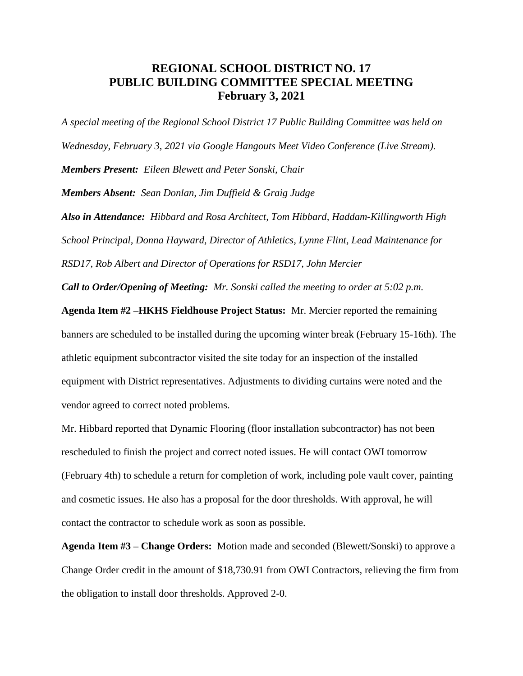## **REGIONAL SCHOOL DISTRICT NO. 17 PUBLIC BUILDING COMMITTEE SPECIAL MEETING February 3, 2021**

*A special meeting of the Regional School District 17 Public Building Committee was held on Wednesday, February 3, 2021 via Google Hangouts Meet Video Conference (Live Stream). Members Present: Eileen Blewett and Peter Sonski, Chair Members Absent: Sean Donlan, Jim Duffield & Graig Judge Also in Attendance: Hibbard and Rosa Architect, Tom Hibbard, Haddam-Killingworth High School Principal, Donna Hayward, Director of Athletics, Lynne Flint, Lead Maintenance for RSD17, Rob Albert and Director of Operations for RSD17, John Mercier*

*Call to Order/Opening of Meeting: Mr. Sonski called the meeting to order at 5:02 p.m.* 

**Agenda Item #2 –HKHS Fieldhouse Project Status:** Mr. Mercier reported the remaining banners are scheduled to be installed during the upcoming winter break (February 15-16th). The athletic equipment subcontractor visited the site today for an inspection of the installed equipment with District representatives. Adjustments to dividing curtains were noted and the vendor agreed to correct noted problems.

Mr. Hibbard reported that Dynamic Flooring (floor installation subcontractor) has not been rescheduled to finish the project and correct noted issues. He will contact OWI tomorrow (February 4th) to schedule a return for completion of work, including pole vault cover, painting and cosmetic issues. He also has a proposal for the door thresholds. With approval, he will contact the contractor to schedule work as soon as possible.

**Agenda Item #3 – Change Orders:** Motion made and seconded (Blewett/Sonski) to approve a Change Order credit in the amount of \$18,730.91 from OWI Contractors, relieving the firm from the obligation to install door thresholds. Approved 2-0.